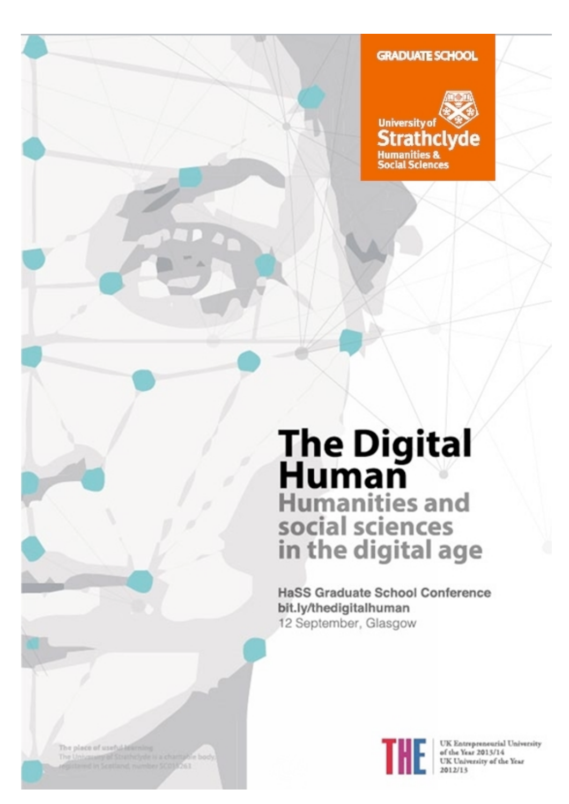### **GRADUATE SCHOOL**



# **The Digital<br>Human<br>Humanities and<br>social sciences**<br>in the digital age

**HaSS Graduate School Conference** bit.ly/thedigitalhuman 12 September, Glasgow



UK Entrepreneurial University of the Year 2013/14 UK University of the Year 2012/15

The place of useful-lei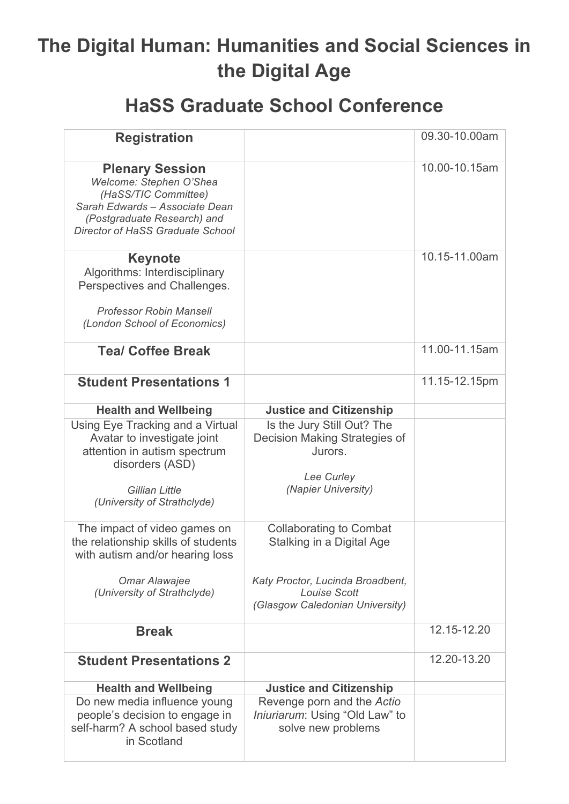# **The Digital Human: Humanities and Social Sciences in the Digital Age**

# **HaSS Graduate School Conference**

| <b>Registration</b>                                                                                                                                                            |                                                                                                             | 09.30-10.00am |
|--------------------------------------------------------------------------------------------------------------------------------------------------------------------------------|-------------------------------------------------------------------------------------------------------------|---------------|
| <b>Plenary Session</b><br>Welcome: Stephen O'Shea<br>(HaSS/TIC Committee)<br>Sarah Edwards - Associate Dean<br>(Postgraduate Research) and<br>Director of HaSS Graduate School |                                                                                                             | 10.00-10.15am |
| <b>Keynote</b><br>Algorithms: Interdisciplinary<br>Perspectives and Challenges.<br><b>Professor Robin Mansell</b><br>(London School of Economics)                              |                                                                                                             | 10.15-11.00am |
| <b>Tea/ Coffee Break</b>                                                                                                                                                       |                                                                                                             | 11.00-11.15am |
| <b>Student Presentations 1</b>                                                                                                                                                 |                                                                                                             | 11.15-12.15pm |
| <b>Health and Wellbeing</b>                                                                                                                                                    | <b>Justice and Citizenship</b>                                                                              |               |
| Using Eye Tracking and a Virtual<br>Avatar to investigate joint<br>attention in autism spectrum<br>disorders (ASD)<br><b>Gillian Little</b>                                    | Is the Jury Still Out? The<br>Decision Making Strategies of<br>Jurors.<br>Lee Curley<br>(Napier University) |               |
| (University of Strathclyde)                                                                                                                                                    |                                                                                                             |               |
| The impact of video games on<br>the relationship skills of students<br>with autism and/or hearing loss                                                                         | <b>Collaborating to Combat</b><br>Stalking in a Digital Age                                                 |               |
| Omar Alawajee<br>(University of Strathclyde)                                                                                                                                   | Katy Proctor, Lucinda Broadbent,<br><b>Louise Scott</b><br>(Glasgow Caledonian University)                  |               |
| <b>Break</b>                                                                                                                                                                   |                                                                                                             | 12.15-12.20   |
| <b>Student Presentations 2</b>                                                                                                                                                 |                                                                                                             | 12.20-13.20   |
| <b>Health and Wellbeing</b>                                                                                                                                                    | <b>Justice and Citizenship</b>                                                                              |               |
| Do new media influence young<br>people's decision to engage in<br>self-harm? A school based study<br>in Scotland                                                               | Revenge porn and the Actio<br>Iniuriarum: Using "Old Law" to<br>solve new problems                          |               |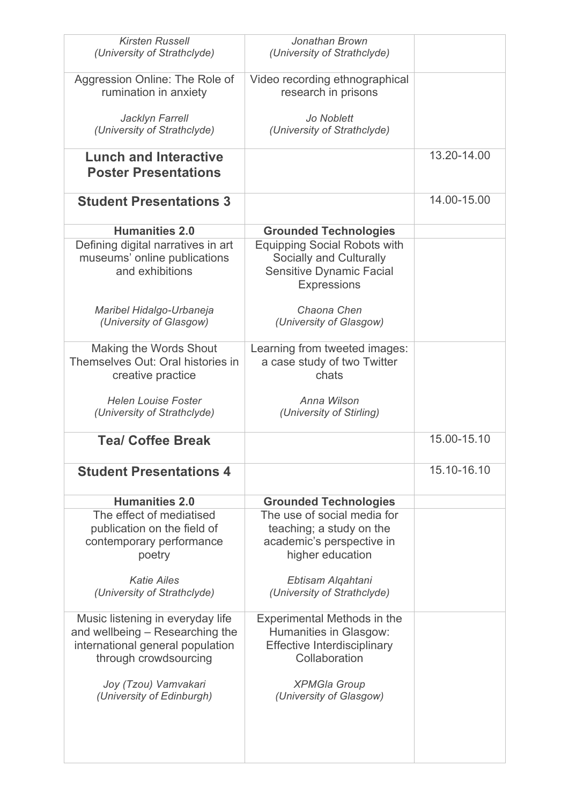| <b>Kirsten Russell</b><br>(University of Strathclyde)                                                                                              | Jonathan Brown<br>(University of Strathclyde)                                                                                                                |             |
|----------------------------------------------------------------------------------------------------------------------------------------------------|--------------------------------------------------------------------------------------------------------------------------------------------------------------|-------------|
| Aggression Online: The Role of<br>rumination in anxiety                                                                                            | Video recording ethnographical<br>research in prisons                                                                                                        |             |
| Jacklyn Farrell<br>(University of Strathclyde)                                                                                                     | Jo Noblett<br>(University of Strathclyde)                                                                                                                    |             |
| <b>Lunch and Interactive</b><br><b>Poster Presentations</b>                                                                                        |                                                                                                                                                              | 13.20-14.00 |
| <b>Student Presentations 3</b>                                                                                                                     |                                                                                                                                                              | 14.00-15.00 |
| <b>Humanities 2.0</b>                                                                                                                              | <b>Grounded Technologies</b>                                                                                                                                 |             |
| Defining digital narratives in art<br>museums' online publications<br>and exhibitions                                                              | <b>Equipping Social Robots with</b><br>Socially and Culturally<br><b>Sensitive Dynamic Facial</b><br><b>Expressions</b>                                      |             |
| Maribel Hidalgo-Urbaneja<br>(University of Glasgow)                                                                                                | Chaona Chen<br>(University of Glasgow)                                                                                                                       |             |
| Making the Words Shout<br>Themselves Out: Oral histories in<br>creative practice                                                                   | Learning from tweeted images:<br>a case study of two Twitter<br>chats                                                                                        |             |
| <b>Helen Louise Foster</b><br>(University of Strathclyde)                                                                                          | Anna Wilson<br>(University of Stirling)                                                                                                                      |             |
| <b>Tea/ Coffee Break</b>                                                                                                                           |                                                                                                                                                              | 15.00-15.10 |
| <b>Student Presentations 4</b>                                                                                                                     |                                                                                                                                                              | 15.10-16.10 |
| <b>Humanities 2.0</b>                                                                                                                              | <b>Grounded Technologies</b>                                                                                                                                 |             |
| The effect of mediatised<br>publication on the field of<br>contemporary performance<br>poetry<br><b>Katie Ailes</b><br>(University of Strathclyde) | The use of social media for<br>teaching; a study on the<br>academic's perspective in<br>higher education<br>Ebtisam Algahtani<br>(University of Strathclyde) |             |
|                                                                                                                                                    |                                                                                                                                                              |             |
| Music listening in everyday life<br>and wellbeing - Researching the<br>international general population<br>through crowdsourcing                   | Experimental Methods in the<br>Humanities in Glasgow:<br><b>Effective Interdisciplinary</b><br>Collaboration                                                 |             |
| Joy (Tzou) Vamvakari<br>(University of Edinburgh)                                                                                                  | <b>XPMGIa Group</b><br>(University of Glasgow)                                                                                                               |             |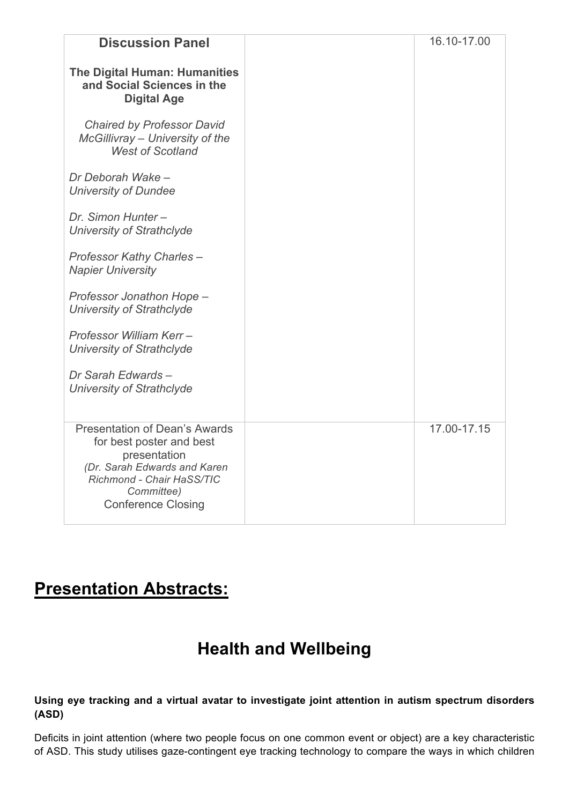| <b>Discussion Panel</b>                                                                                                                                                                  | 16.10-17.00 |
|------------------------------------------------------------------------------------------------------------------------------------------------------------------------------------------|-------------|
| <b>The Digital Human: Humanities</b><br>and Social Sciences in the<br><b>Digital Age</b>                                                                                                 |             |
| <b>Chaired by Professor David</b><br>McGillivray - University of the<br><b>West of Scotland</b>                                                                                          |             |
| Dr Deborah Wake -<br><b>University of Dundee</b>                                                                                                                                         |             |
| Dr. Simon Hunter-<br>University of Strathclyde                                                                                                                                           |             |
| <b>Professor Kathy Charles-</b><br><b>Napier University</b>                                                                                                                              |             |
| Professor Jonathon Hope -<br><b>University of Strathclyde</b>                                                                                                                            |             |
| Professor William Kerr-<br><b>University of Strathclyde</b>                                                                                                                              |             |
| Dr Sarah Edwards-<br><b>University of Strathclyde</b>                                                                                                                                    |             |
| <b>Presentation of Dean's Awards</b><br>for best poster and best<br>presentation<br>(Dr. Sarah Edwards and Karen<br>Richmond - Chair HaSS/TIC<br>Committee)<br><b>Conference Closing</b> | 17.00-17.15 |

# **Presentation Abstracts:**

# **Health and Wellbeing**

### **Using eye tracking and a virtual avatar to investigate joint attention in autism spectrum disorders (ASD)**

Deficits in joint attention (where two people focus on one common event or object) are a key characteristic of ASD. This study utilises gaze-contingent eye tracking technology to compare the ways in which children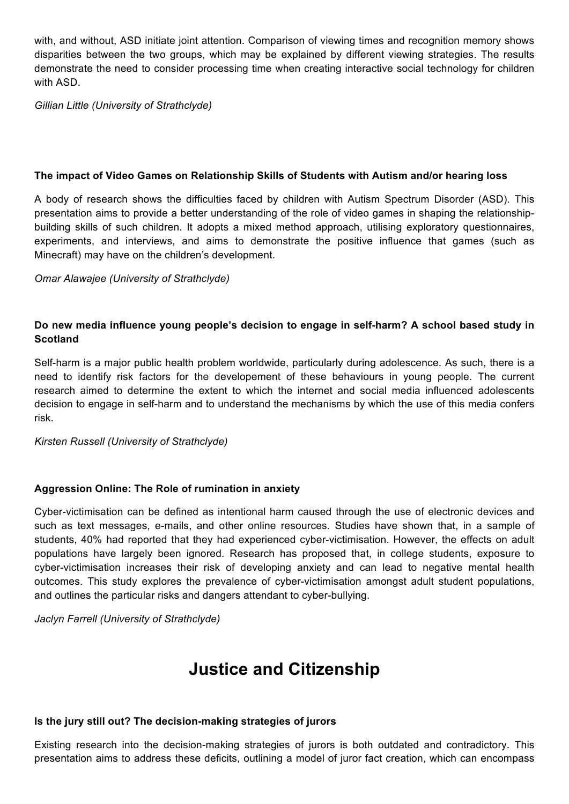with, and without, ASD initiate joint attention. Comparison of viewing times and recognition memory shows disparities between the two groups, which may be explained by different viewing strategies. The results demonstrate the need to consider processing time when creating interactive social technology for children with ASD.

*Gillian Little (University of Strathclyde)*

### **The impact of Video Games on Relationship Skills of Students with Autism and/or hearing loss**

A body of research shows the difficulties faced by children with Autism Spectrum Disorder (ASD). This presentation aims to provide a better understanding of the role of video games in shaping the relationshipbuilding skills of such children. It adopts a mixed method approach, utilising exploratory questionnaires, experiments, and interviews, and aims to demonstrate the positive influence that games (such as Minecraft) may have on the children's development.

*Omar Alawajee (University of Strathclyde)*

### **Do new media influence young people's decision to engage in self-harm? A school based study in Scotland**

Self-harm is a major public health problem worldwide, particularly during adolescence. As such, there is a need to identify risk factors for the developement of these behaviours in young people. The current research aimed to determine the extent to which the internet and social media influenced adolescents decision to engage in self-harm and to understand the mechanisms by which the use of this media confers risk.

*Kirsten Russell (University of Strathclyde)*

### **Aggression Online: The Role of rumination in anxiety**

Cyber-victimisation can be defined as intentional harm caused through the use of electronic devices and such as text messages, e-mails, and other online resources. Studies have shown that, in a sample of students, 40% had reported that they had experienced cyber-victimisation. However, the effects on adult populations have largely been ignored. Research has proposed that, in college students, exposure to cyber-victimisation increases their risk of developing anxiety and can lead to negative mental health outcomes. This study explores the prevalence of cyber-victimisation amongst adult student populations, and outlines the particular risks and dangers attendant to cyber-bullying.

*Jaclyn Farrell (University of Strathclyde)*

## **Justice and Citizenship**

### **Is the jury still out? The decision-making strategies of jurors**

Existing research into the decision-making strategies of jurors is both outdated and contradictory. This presentation aims to address these deficits, outlining a model of juror fact creation, which can encompass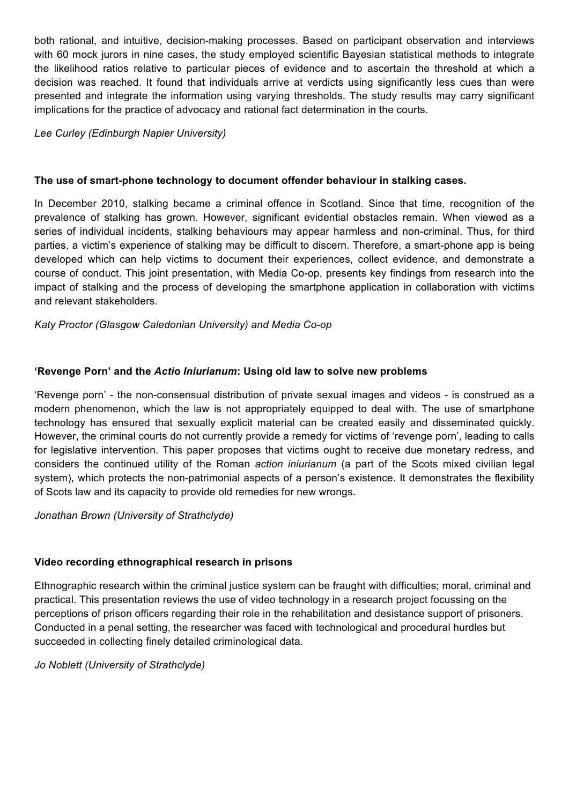both rational, and intuitive, decision-making processes. Based on participant observation and interviews with 60 mock jurors in nine cases, the study employed scientific Bayesian statistical methods to integrate the likelihood ratios relative to particular pieces of evidence and to ascertain the threshold at which a decision was reached. It found that individuals arrive at verdicts using significantly less cues than were presented and integrate the information using varying thresholds. The study results may carry significant implications for the practice of advocacy and rational fact determination in the courts.

*Lee Curley (Edinburgh Napier University)*

### **The use of smart-phone technology to document offender behaviour in stalking cases.**

In December 2010, stalking became a criminal offence in Scotland. Since that time, recognition of the prevalence of stalking has grown. However, significant evidential obstacles remain. When viewed as a series of individual incidents, stalking behaviours may appear harmless and non-criminal. Thus, for third parties, a victim's experience of stalking may be difficult to discern. Therefore, a smart-phone app is being developed which can help victims to document their experiences, collect evidence, and demonstrate a course of conduct. This joint presentation, with Media Co-op, presents key findings from research into the impact of stalking and the process of developing the smartphone application in collaboration with victims and relevant stakeholders.

*Katy Proctor (Glasgow Caledonian University) and Media Co-op*

### **'Revenge Porn' and the** *Actio Iniurianum***: Using old law to solve new problems**

'Revenge porn' - the non-consensual distribution of private sexual images and videos - is construed as a modern phenomenon, which the law is not appropriately equipped to deal with. The use of smartphone technology has ensured that sexually explicit material can be created easily and disseminated quickly. However, the criminal courts do not currently provide a remedy for victims of 'revenge porn', leading to calls for legislative intervention. This paper proposes that victims ought to receive due monetary redress, and considers the continued utility of the Roman *action iniurianum* (a part of the Scots mixed civilian legal system), which protects the non-patrimonial aspects of a person's existence. It demonstrates the flexibility of Scots law and its capacity to provide old remedies for new wrongs.

### *Jonathan Brown (University of Strathclyde)*

### **Video recording ethnographical research in prisons**

Ethnographic research within the criminal justice system can be fraught with difficulties; moral, criminal and practical. This presentation reviews the use of video technology in a research project focussing on the perceptions of prison officers regarding their role in the rehabilitation and desistance support of prisoners. Conducted in a penal setting, the researcher was faced with technological and procedural hurdles but succeeded in collecting finely detailed criminological data.

*Jo Noblett (University of Strathclyde)*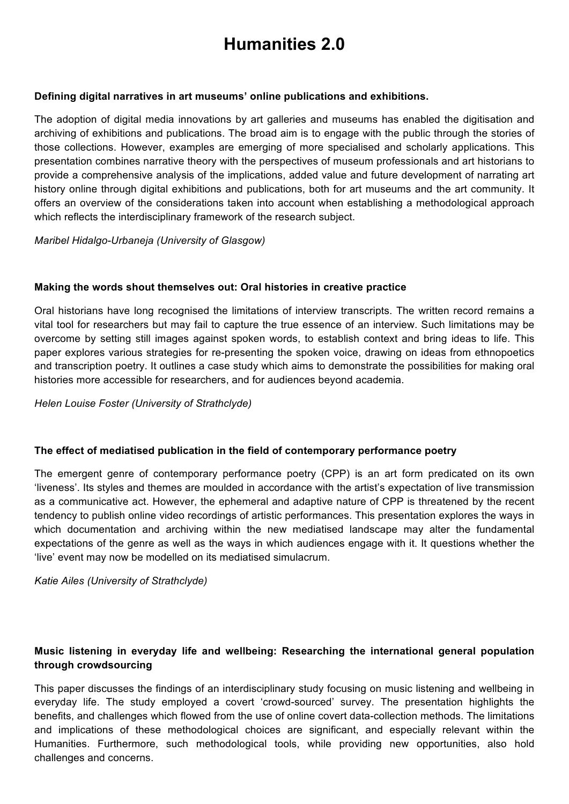# **Humanities 2.0**

### **Defining digital narratives in art museums' online publications and exhibitions.**

The adoption of digital media innovations by art galleries and museums has enabled the digitisation and archiving of exhibitions and publications. The broad aim is to engage with the public through the stories of those collections. However, examples are emerging of more specialised and scholarly applications. This presentation combines narrative theory with the perspectives of museum professionals and art historians to provide a comprehensive analysis of the implications, added value and future development of narrating art history online through digital exhibitions and publications, both for art museums and the art community. It offers an overview of the considerations taken into account when establishing a methodological approach which reflects the interdisciplinary framework of the research subject.

*Maribel Hidalgo-Urbaneja (University of Glasgow)*

### **Making the words shout themselves out: Oral histories in creative practice**

Oral historians have long recognised the limitations of interview transcripts. The written record remains a vital tool for researchers but may fail to capture the true essence of an interview. Such limitations may be overcome by setting still images against spoken words, to establish context and bring ideas to life. This paper explores various strategies for re-presenting the spoken voice, drawing on ideas from ethnopoetics and transcription poetry. It outlines a case study which aims to demonstrate the possibilities for making oral histories more accessible for researchers, and for audiences beyond academia.

*Helen Louise Foster (University of Strathclyde)*

### **The effect of mediatised publication in the field of contemporary performance poetry**

The emergent genre of contemporary performance poetry (CPP) is an art form predicated on its own 'liveness'. Its styles and themes are moulded in accordance with the artist's expectation of live transmission as a communicative act. However, the ephemeral and adaptive nature of CPP is threatened by the recent tendency to publish online video recordings of artistic performances. This presentation explores the ways in which documentation and archiving within the new mediatised landscape may alter the fundamental expectations of the genre as well as the ways in which audiences engage with it. It questions whether the 'live' event may now be modelled on its mediatised simulacrum.

*Katie Ailes (University of Strathclyde)*

### **Music listening in everyday life and wellbeing: Researching the international general population through crowdsourcing**

This paper discusses the findings of an interdisciplinary study focusing on music listening and wellbeing in everyday life. The study employed a covert 'crowd-sourced' survey. The presentation highlights the benefits, and challenges which flowed from the use of online covert data-collection methods. The limitations and implications of these methodological choices are significant, and especially relevant within the Humanities. Furthermore, such methodological tools, while providing new opportunities, also hold challenges and concerns.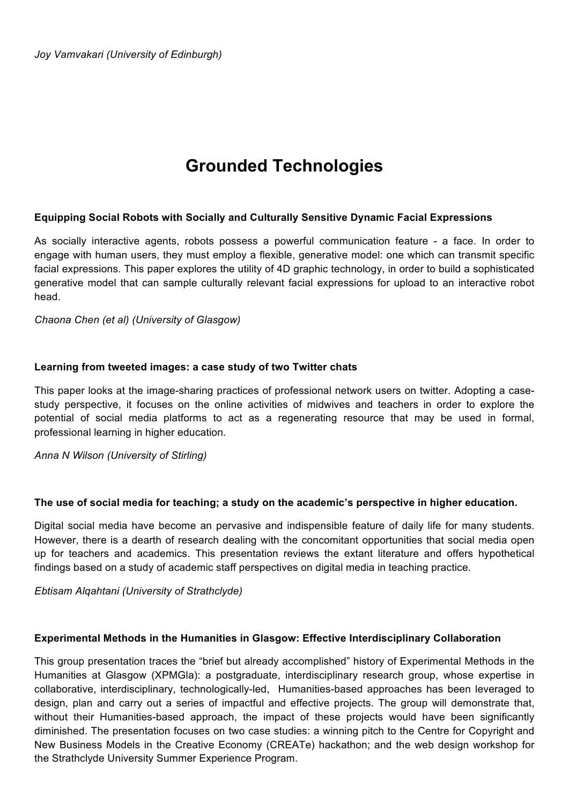*Joy Vamvakari (University of Edinburgh)*

# **Grounded Technologies**

### **Equipping Social Robots with Socially and Culturally Sensitive Dynamic Facial Expressions**

As socially interactive agents, robots possess a powerful communication feature - a face. In order to engage with human users, they must employ a flexible, generative model: one which can transmit specific facial expressions. This paper explores the utility of 4D graphic technology, in order to build a sophisticated generative model that can sample culturally relevant facial expressions for upload to an interactive robot head.

*Chaona Chen (et al) (University of Glasgow)*

### **Learning from tweeted images: a case study of two Twitter chats**

This paper looks at the image-sharing practices of professional network users on twitter. Adopting a casestudy perspective, it focuses on the online activities of midwives and teachers in order to explore the potential of social media platforms to act as a regenerating resource that may be used in formal, professional learning in higher education.

*Anna N Wilson (University of Stirling)* 

### **The use of social media for teaching; a study on the academic's perspective in higher education.**

Digital social media have become an pervasive and indispensible feature of daily life for many students. However, there is a dearth of research dealing with the concomitant opportunities that social media open up for teachers and academics. This presentation reviews the extant literature and offers hypothetical findings based on a study of academic staff perspectives on digital media in teaching practice.

*Ebtisam Alqahtani (University of Strathclyde)*

### **Experimental Methods in the Humanities in Glasgow: Effective Interdisciplinary Collaboration**

This group presentation traces the "brief but already accomplished" history of Experimental Methods in the Humanities at Glasgow (XPMGla): a postgraduate, interdisciplinary research group, whose expertise in collaborative, interdisciplinary, technologically-led, Humanities-based approaches has been leveraged to design, plan and carry out a series of impactful and effective projects. The group will demonstrate that, without their Humanities-based approach, the impact of these projects would have been significantly diminished. The presentation focuses on two case studies: a winning pitch to the Centre for Copyright and New Business Models in the Creative Economy (CREATe) hackathon; and the web design workshop for the Strathclyde University Summer Experience Program.